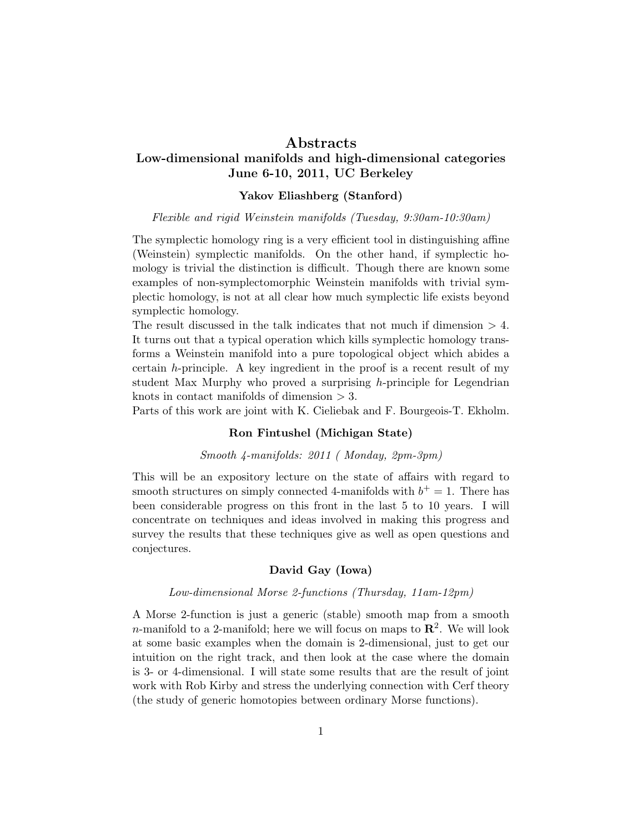## ${\rm Abstracts}$

# Low-dimensional manifolds and high-dimensional categories June 6-10, 2011, UC Berkeley

## Yakov Eliashberg (Stanford)

Flexible and rigid Weinstein manifolds (Tuesday, 9:30am-10:30am)

The symplectic homology ring is a very efficient tool in distinguishing affine (Weinstein) symplectic manifolds. On the other hand, if symplectic homology is trivial the distinction is difficult. Though there are known some examples of non-symplectomorphic Weinstein manifolds with trivial symplectic homology, is not at all clear how much symplectic life exists beyond symplectic homology.

The result discussed in the talk indicates that not much if dimension  $> 4$ . It turns out that a typical operation which kills symplectic homology transforms a Weinstein manifold into a pure topological object which abides a certain  $h$ -principle. A key ingredient in the proof is a recent result of my student Max Murphy who proved a surprising h-principle for Legendrian knots in contact manifolds of dimension  $> 3$ .

Parts of this work are joint with K. Cieliebak and F. Bourgeois-T. Ekholm.

## Ron Fintushel (Michigan State)

### Smooth 4-manifolds: 2011 ( Monday, 2pm-3pm)

This will be an expository lecture on the state of affairs with regard to smooth structures on simply connected 4-manifolds with  $b^+=1$ . There has been considerable progress on this front in the last 5 to 10 years. I will concentrate on techniques and ideas involved in making this progress and survey the results that these techniques give as well as open questions and conjectures.

## David Gay (Iowa)

#### Low-dimensional Morse 2-functions (Thursday, 11am-12pm)

A Morse 2-function is just a generic (stable) smooth map from a smooth *n*-manifold to a 2-manifold; here we will focus on maps to  $\mathbb{R}^2$ . We will look at some basic examples when the domain is 2-dimensional, just to get our intuition on the right track, and then look at the case where the domain is 3- or 4-dimensional. I will state some results that are the result of joint work with Rob Kirby and stress the underlying connection with Cerf theory (the study of generic homotopies between ordinary Morse functions).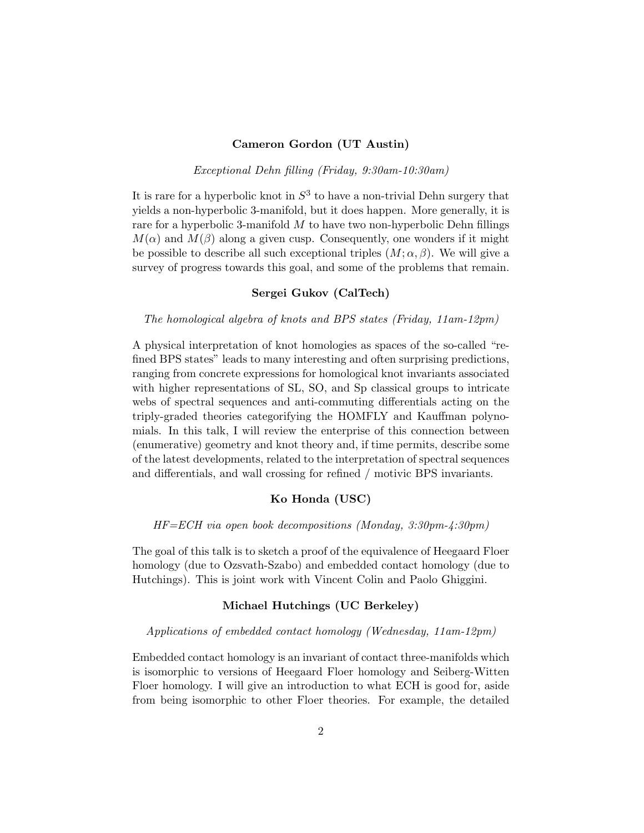## Cameron Gordon (UT Austin)

Exceptional Dehn filling (Friday, 9:30am-10:30am)

It is rare for a hyperbolic knot in  $S^3$  to have a non-trivial Dehn surgery that yields a non-hyperbolic 3-manifold, but it does happen. More generally, it is rare for a hyperbolic 3-manifold  $M$  to have two non-hyperbolic Dehn fillings  $M(\alpha)$  and  $M(\beta)$  along a given cusp. Consequently, one wonders if it might be possible to describe all such exceptional triples  $(M; \alpha, \beta)$ . We will give a survey of progress towards this goal, and some of the problems that remain.

## Sergei Gukov (CalTech)

#### The homological algebra of knots and BPS states (Friday, 11am-12pm)

A physical interpretation of knot homologies as spaces of the so-called "refined BPS states" leads to many interesting and often surprising predictions, ranging from concrete expressions for homological knot invariants associated with higher representations of SL, SO, and Sp classical groups to intricate webs of spectral sequences and anti-commuting differentials acting on the triply-graded theories categorifying the HOMFLY and Kauffman polynomials. In this talk, I will review the enterprise of this connection between (enumerative) geometry and knot theory and, if time permits, describe some of the latest developments, related to the interpretation of spectral sequences and differentials, and wall crossing for refined / motivic BPS invariants.

### Ko Honda (USC)

HF=ECH via open book decompositions (Monday, 3:30pm-4:30pm)

The goal of this talk is to sketch a proof of the equivalence of Heegaard Floer homology (due to Ozsvath-Szabo) and embedded contact homology (due to Hutchings). This is joint work with Vincent Colin and Paolo Ghiggini.

#### Michael Hutchings (UC Berkeley)

### Applications of embedded contact homology (Wednesday, 11am-12pm)

Embedded contact homology is an invariant of contact three-manifolds which is isomorphic to versions of Heegaard Floer homology and Seiberg-Witten Floer homology. I will give an introduction to what ECH is good for, aside from being isomorphic to other Floer theories. For example, the detailed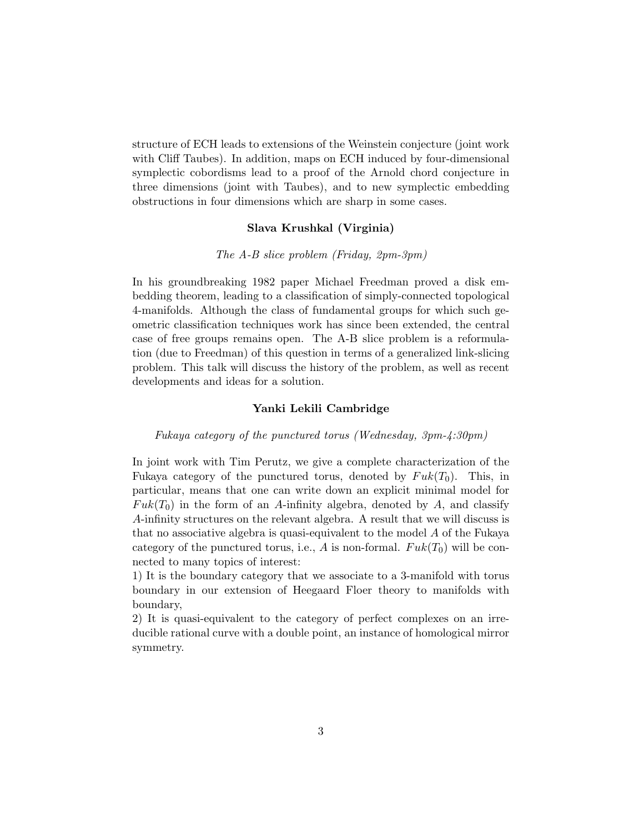structure of ECH leads to extensions of the Weinstein conjecture (joint work with Cliff Taubes). In addition, maps on ECH induced by four-dimensional symplectic cobordisms lead to a proof of the Arnold chord conjecture in three dimensions (joint with Taubes), and to new symplectic embedding obstructions in four dimensions which are sharp in some cases.

### Slava Krushkal (Virginia)

### The A-B slice problem (Friday, 2pm-3pm)

In his groundbreaking 1982 paper Michael Freedman proved a disk embedding theorem, leading to a classification of simply-connected topological 4-manifolds. Although the class of fundamental groups for which such geometric classification techniques work has since been extended, the central case of free groups remains open. The A-B slice problem is a reformulation (due to Freedman) of this question in terms of a generalized link-slicing problem. This talk will discuss the history of the problem, as well as recent developments and ideas for a solution.

#### Yanki Lekili Cambridge

#### Fukaya category of the punctured torus (Wednesday, 3pm-4:30pm)

In joint work with Tim Perutz, we give a complete characterization of the Fukaya category of the punctured torus, denoted by  $Fuk(T_0)$ . This, in particular, means that one can write down an explicit minimal model for  $Fuk(T_0)$  in the form of an A-infinity algebra, denoted by A, and classify A-infinity structures on the relevant algebra. A result that we will discuss is that no associative algebra is quasi-equivalent to the model  $A$  of the Fukaya category of the punctured torus, i.e., A is non-formal.  $Fuk(T_0)$  will be connected to many topics of interest:

1) It is the boundary category that we associate to a 3-manifold with torus boundary in our extension of Heegaard Floer theory to manifolds with boundary,

2) It is quasi-equivalent to the category of perfect complexes on an irreducible rational curve with a double point, an instance of homological mirror symmetry.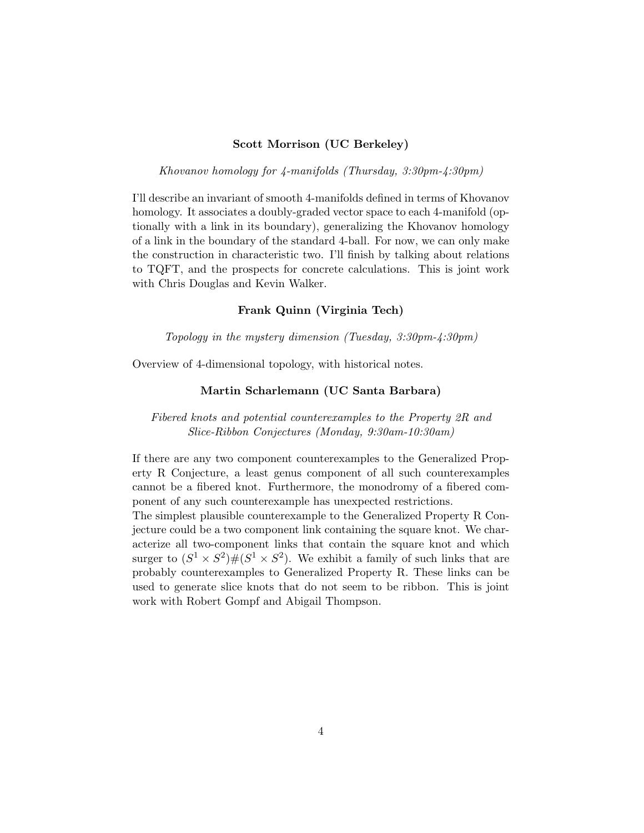## Scott Morrison (UC Berkeley)

Khovanov homology for 4-manifolds (Thursday, 3:30pm-4:30pm)

I'll describe an invariant of smooth 4-manifolds defined in terms of Khovanov homology. It associates a doubly-graded vector space to each 4-manifold (optionally with a link in its boundary), generalizing the Khovanov homology of a link in the boundary of the standard 4-ball. For now, we can only make the construction in characteristic two. I'll finish by talking about relations to TQFT, and the prospects for concrete calculations. This is joint work with Chris Douglas and Kevin Walker.

### Frank Quinn (Virginia Tech)

Topology in the mystery dimension (Tuesday, 3:30pm-4:30pm)

Overview of 4-dimensional topology, with historical notes.

#### Martin Scharlemann (UC Santa Barbara)

Fibered knots and potential counterexamples to the Property 2R and Slice-Ribbon Conjectures (Monday, 9:30am-10:30am)

If there are any two component counterexamples to the Generalized Property R Conjecture, a least genus component of all such counterexamples cannot be a fibered knot. Furthermore, the monodromy of a fibered component of any such counterexample has unexpected restrictions.

The simplest plausible counterexample to the Generalized Property R Conjecture could be a two component link containing the square knot. We characterize all two-component links that contain the square knot and which surger to  $(S^1 \times S^2) \# (S^1 \times S^2)$ . We exhibit a family of such links that are probably counterexamples to Generalized Property R. These links can be used to generate slice knots that do not seem to be ribbon. This is joint work with Robert Gompf and Abigail Thompson.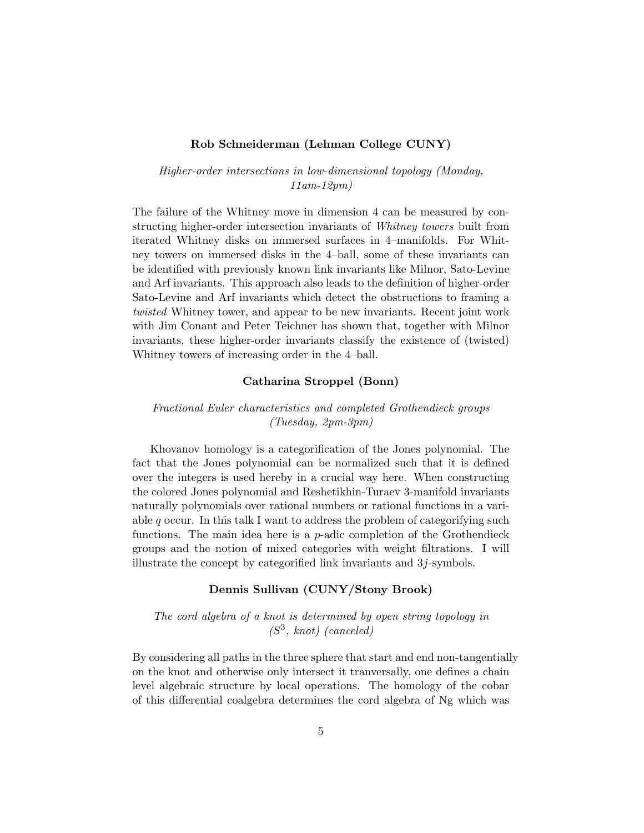## Rob Schneiderman (Lehman College CUNY)

Higher-order intersections in low-dimensional topology (Monday, 11am-12pm)

The failure of the Whitney move in dimension 4 can be measured by constructing higher-order intersection invariants of Whitney towers built from iterated Whitney disks on immersed surfaces in 4–manifolds. For Whitney towers on immersed disks in the 4–ball, some of these invariants can be identified with previously known link invariants like Milnor, Sato-Levine and Arf invariants. This approach also leads to the definition of higher-order Sato-Levine and Arf invariants which detect the obstructions to framing a twisted Whitney tower, and appear to be new invariants. Recent joint work with Jim Conant and Peter Teichner has shown that, together with Milnor invariants, these higher-order invariants classify the existence of (twisted) Whitney towers of increasing order in the 4–ball.

## Catharina Stroppel (Bonn)

## Fractional Euler characteristics and completed Grothendieck groups (Tuesday, 2pm-3pm)

Khovanov homology is a categorification of the Jones polynomial. The fact that the Jones polynomial can be normalized such that it is defined over the integers is used hereby in a crucial way here. When constructing the colored Jones polynomial and Reshetikhin-Turaev 3-manifold invariants naturally polynomials over rational numbers or rational functions in a variable  $q$  occur. In this talk I want to address the problem of categorifying such functions. The main idea here is a  $p$ -adic completion of the Grothendieck groups and the notion of mixed categories with weight filtrations. I will illustrate the concept by categorified link invariants and  $3j$ -symbols.

## Dennis Sullivan (CUNY/Stony Brook)

The cord algebra of a knot is determined by open string topology in (S 3 , knot) (canceled)

By considering all paths in the three sphere that start and end non-tangentially on the knot and otherwise only intersect it tranversally, one defines a chain level algebraic structure by local operations. The homology of the cobar of this differential coalgebra determines the cord algebra of Ng which was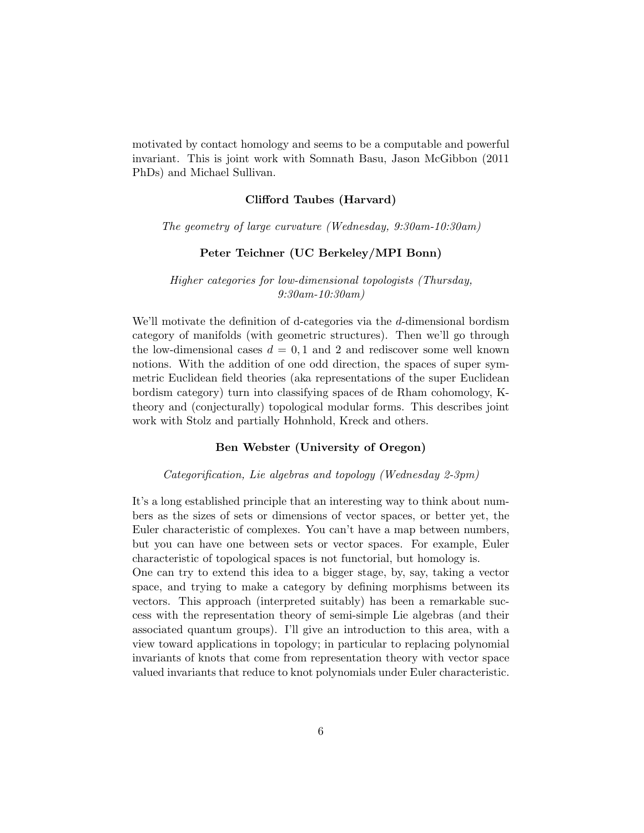motivated by contact homology and seems to be a computable and powerful invariant. This is joint work with Somnath Basu, Jason McGibbon (2011 PhDs) and Michael Sullivan.

### Clifford Taubes (Harvard)

The geometry of large curvature (Wednesday, 9:30am-10:30am)

### Peter Teichner (UC Berkeley/MPI Bonn)

Higher categories for low-dimensional topologists (Thursday, 9:30am-10:30am)

We'll motivate the definition of d-categories via the d-dimensional bordism category of manifolds (with geometric structures). Then we'll go through the low-dimensional cases  $d = 0, 1$  and 2 and rediscover some well known notions. With the addition of one odd direction, the spaces of super symmetric Euclidean field theories (aka representations of the super Euclidean bordism category) turn into classifying spaces of de Rham cohomology, Ktheory and (conjecturally) topological modular forms. This describes joint work with Stolz and partially Hohnhold, Kreck and others.

### Ben Webster (University of Oregon)

#### Categorification, Lie algebras and topology (Wednesday 2-3pm)

It's a long established principle that an interesting way to think about numbers as the sizes of sets or dimensions of vector spaces, or better yet, the Euler characteristic of complexes. You can't have a map between numbers, but you can have one between sets or vector spaces. For example, Euler characteristic of topological spaces is not functorial, but homology is.

One can try to extend this idea to a bigger stage, by, say, taking a vector space, and trying to make a category by defining morphisms between its vectors. This approach (interpreted suitably) has been a remarkable success with the representation theory of semi-simple Lie algebras (and their associated quantum groups). I'll give an introduction to this area, with a view toward applications in topology; in particular to replacing polynomial invariants of knots that come from representation theory with vector space valued invariants that reduce to knot polynomials under Euler characteristic.